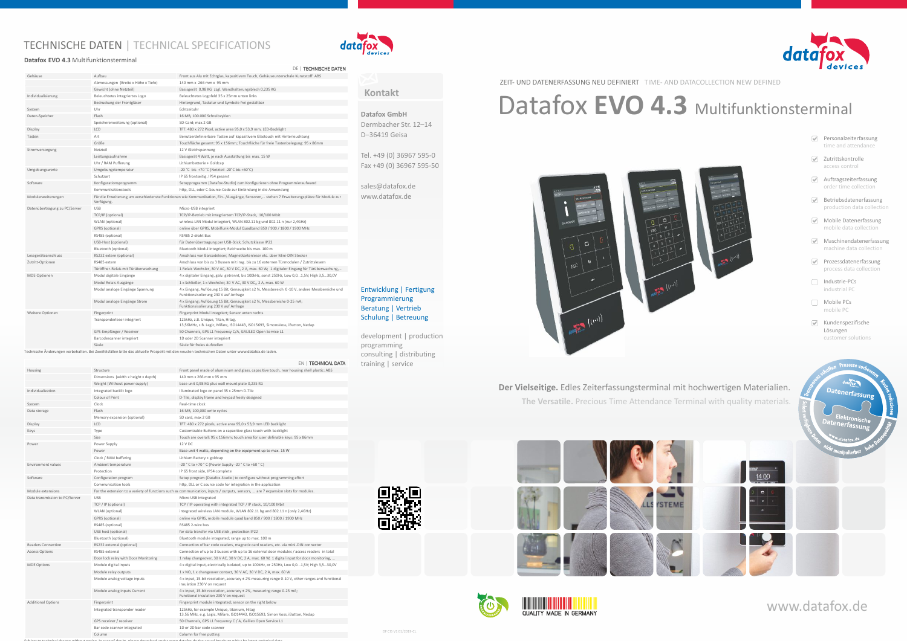# www.datafox.de

#### **Datafox GmbH**

Dermbacher Str. 12–14 D–36419 Geisa

Tel. +49 (0) 36967 595-0 Fax +49 (0) 36967 595-50

sales@datafox.de www.datafox.de

#### **Kontakt**

development | production programming consulting | distributing training | service

Entwicklung | Fertigung Programmierung Beratung | Vertrieb Schulung | Betreuung





## TECHNISCHE DATEN | TECHNICAL SPECIFICATIONS



- Personalzeiterfassung time and attendance
- **Zutrittskontrolle** access control
- Auftragszeiterfassung order time collection
- $\Theta$  Betriebsdatenerfassung production data collection
- Mobile Datenerfassung mobile data collection
- Maschinendatenerfassung machine data collection
- Prozessdatenerfassung process data collection
- □ Industrie-PCs industrial PC
- Mobile PCs mobile PC
- $\blacktriangleright$  Kundenspezifische Lösungen customer solutions



### **Der Vielseitige.** Edles Zeiterfassungsterminal mit hochwertigen Materialien.

**The Versatile.** Precious Time Attendance Terminal with quality materials.





| ø | <b>The Company of Company</b><br><b>QUALITY MADE IN GERMANY</b> |
|---|-----------------------------------------------------------------|
|---|-----------------------------------------------------------------|

#### ZEIT- UND DATENERFASSUNG NEU DEFINIERT TIME- AND DATACOLLECTION NEW DEFINED

# Datafox EVO 4.3 Multifunktionsterminal



#### **Datafox EVO 4.3** Multifunktionsterminal

|                               |                                                                                                                                                       | DE   TECHNISCHE DATEN                                                                                                                 |
|-------------------------------|-------------------------------------------------------------------------------------------------------------------------------------------------------|---------------------------------------------------------------------------------------------------------------------------------------|
| Gehäuse                       | Aufbau                                                                                                                                                | Front aus Alu mit Echtglas, kapazitivem Touch, Gehäuseunterschale Kunststoff: ABS                                                     |
|                               | Abmessungen (Breite x Höhe x Tiefe)                                                                                                                   | 140 mm x 266 mm x 95 mm                                                                                                               |
|                               | Gewicht (ohne Netzteil)                                                                                                                               | Basisgerät 0,98 KG zzgl. Wandhalterungsblech 0,235 KG                                                                                 |
| Individualisierung            | Beleuchtetes integriertes Logo                                                                                                                        | Beleuchtetes Logofeld 35 x 25mm unten links                                                                                           |
|                               | Bedruckung der Frontgläser                                                                                                                            | Hintergrund, Tastatur und Symbole frei gestaltbar                                                                                     |
| System                        | Uhr                                                                                                                                                   | Echtzeituhr                                                                                                                           |
| Daten-Speicher                | Flash                                                                                                                                                 | 16 MB, 100.000 Schreibzyklen                                                                                                          |
|                               | Speichererweiterung (optional)                                                                                                                        | SD-Card; max.2 GB                                                                                                                     |
| Display                       | <b>LCD</b>                                                                                                                                            | TFT: 480 x 272 Pixel, active area 95,0 x 53,9 mm, LED-Backlight                                                                       |
| Tasten                        | Art                                                                                                                                                   | Benutzerdefinierbare Tasten auf kapazitivem Glastouch mit Hinterleuchtung                                                             |
|                               | Größe                                                                                                                                                 | Touchfläche gesamt: 95 x 156mm; Touchfläche für freie Tastenbelegung: 95 x 86mm                                                       |
| Stromversorgung               | Netzteil                                                                                                                                              | 12 V Gleichspannung                                                                                                                   |
|                               | Leistungsaufnahme                                                                                                                                     | Basisgerät 4 Watt, je nach Ausstattung bis max. 15 W                                                                                  |
|                               | Uhr / RAM Pufferung                                                                                                                                   | Lithiumbatterie + Goldcap                                                                                                             |
| Umgebungswerte                | Umgebungstemperatur                                                                                                                                   | -20 °C bis +70 °C (Netzteil -20°C bis +60°C)                                                                                          |
|                               | Schutzart                                                                                                                                             | IP 65 frontseitig, IP54 gesamt                                                                                                        |
| Software                      | Konfigurationsprogramm                                                                                                                                | Setupprogramm (Datafox-Studio) zum Konfigurieren ohne Programmieraufwand                                                              |
|                               | Kommunikationstools                                                                                                                                   | http, DLL, oder C-Source-Code zur Einbindung in die Anwendung                                                                         |
| Modulerweiterungen            | Für die Erweiterung um verschiedenste Funktionen wie Kommunikation, Ein-/Ausgänge, Sensoren, stehen 7 Erweiterungsplätze für Module zur<br>Verfügung. |                                                                                                                                       |
| Datenübertragung zu PC/Server | USB                                                                                                                                                   | Micro-USB integriert                                                                                                                  |
|                               | TCP/IP (optional)                                                                                                                                     | TCP/IP-Betrieb mit integriertem TCP/IP-Stack, 10/100 Mbit                                                                             |
|                               | WLAN (optional)                                                                                                                                       | wireless LAN Modul integriert, WLAN 802.11 bg und 802.11 n (nur 2,4GHz)                                                               |
|                               | GPRS (optional)                                                                                                                                       | online über GPRS, Mobilfunk-Modul Quadband 850 / 900 / 1800 / 1900 MHz                                                                |
|                               | RS485 (optional)                                                                                                                                      | RS485 2-draht Bus                                                                                                                     |
|                               | USB-Host (optional)                                                                                                                                   | für Datenübertragung per USB-Stick, Schutzklasse IP22                                                                                 |
|                               | Bluetooth (optional)                                                                                                                                  | Bluetooth Modul integriert; Reichweite bis max. 100 m                                                                                 |
| Lesegeräteanschluss           | RS232 extern (optional)                                                                                                                               | Anschluss von Barcodeleser, Magnetkartenleser etc. über Mini-DIN Stecker                                                              |
| Zutritt-Optionen              | RS485 extern                                                                                                                                          | Anschluss von bis zu 3 Bussen mit insg. bis zu 16 externen Türmodulen / Zutrittslesern                                                |
|                               | Türöffner-Relais mit Türüberwachung                                                                                                                   | 1 Relais Wechsler, 30 V AC, 30 V DC, 2 A, max. 60 W; 1 digitaler Eingang für Türüberwachung,                                          |
| MDE-Optionen                  | Modul digitale Eingänge                                                                                                                               | 4 x digitaler Eingang, galv. getrennt, bis 100kHz, sonst 250Hz, Low 0,01,5V; High 3,530,0V                                            |
|                               | Modul Relais Ausgänge                                                                                                                                 | 1 x Schließer, 1 x Wechsl er, 30 V AC, 30 V DC,, 2 A, max. 60 W                                                                       |
|                               | Modul analoge Eingänge Spannung                                                                                                                       | 4 x Eingang, Auflösung 15 Bit, Genauigkeit ±2 %, Messbereich 0-10 V, andere Messbereiche und<br>Funktionsisolierung 230 V auf Anfrage |
|                               | Modul analoge Eingänge Strom                                                                                                                          | 4 x Eingang; Auflösung 15 Bit, Genauigkeit ±2 %, Messbereiche 0-25 mA;<br>Funktionsisolierung 230 V auf Anfrage                       |
| Weitere Optionen              | Fingerprint                                                                                                                                           | Fingerprint Modul integriert; Sensor unten rechts                                                                                     |
|                               | Transponderleser integriert                                                                                                                           | 125kHz, z.B. Unique, Titan, Hitag,<br>13,56MHz, z.B. Legic, Mifare, ISO14443, ISO15693, SimonsVoss, iButton, Nedap                    |
|                               | GPS-Empfänger / Receiver                                                                                                                              | 50 Channels, GPS L1 frequency C/A, GALILEO Open Service L1                                                                            |
|                               | Barcodescanner integriert                                                                                                                             | 1D oder 2D Scanner integriert                                                                                                         |
|                               | Säule                                                                                                                                                 | Säule für freies Aufstellen                                                                                                           |

Technische Änderungen vorbehalten. Bei Zweifelsfällen bitte das aktuelle Prospekt mit den neusten technischen Daten unter www.datafox.de laden.

|                                |                                                                                                                                   | EN   TECHNICAL DATA                                                                                                            |  |
|--------------------------------|-----------------------------------------------------------------------------------------------------------------------------------|--------------------------------------------------------------------------------------------------------------------------------|--|
| Housing                        | Structure                                                                                                                         | Front panel made of aluminium and glass, capacitive touch, rear housing shell plastic: ABS                                     |  |
|                                | Dimensions (width x height x depth)                                                                                               | 140 mm x 266 mm x 95 mm                                                                                                        |  |
|                                | Weight (Without power supply)                                                                                                     | base unit 0,98 KG plus wall mount plate 0,235 KG                                                                               |  |
| Individualization              | Integrated backlit logo                                                                                                           | Illuminated logo on panel 35 x 25mm D-Tile                                                                                     |  |
|                                | Colour of Print                                                                                                                   | D-Tile, display frame and keypad freely designed                                                                               |  |
| System                         | Clock                                                                                                                             | Real-time clock                                                                                                                |  |
| Data storage                   | Flash                                                                                                                             | 16 MB, 100,000 write cycles                                                                                                    |  |
|                                | Memory expansion (optional)                                                                                                       | SD card, max 2 GB                                                                                                              |  |
| Display                        | <b>LCD</b>                                                                                                                        | TFT: 480 x 272 pixels, active area 95,0 x 53,9 mm LED backlight                                                                |  |
| Keys                           | Type                                                                                                                              | Customizable Buttons on a capacitive glass touch with backlight                                                                |  |
|                                | Size                                                                                                                              | Touch are overall: 95 x 156mm; touch area for user definable keys: 95 x 86mm                                                   |  |
| Power                          | Power Supply                                                                                                                      | 12 V DC                                                                                                                        |  |
|                                | Power                                                                                                                             | Base unit 4 watts, depending on the equipment up to max. 15 W                                                                  |  |
|                                | Clock / RAM buffering                                                                                                             | Lithium Battery + goldcap                                                                                                      |  |
| Environment values             | Ambient temperature                                                                                                               | -20 °C to +70 °C (Power Supply -20 °C to +60 °C)                                                                               |  |
|                                | Protection                                                                                                                        | IP 65 front side, IP54 complete                                                                                                |  |
| Software                       | Configuration program                                                                                                             | Setup program (Datafox-Studio) to configure without programming effort                                                         |  |
|                                | Communication tools                                                                                                               | http, DLL or C source code for integration in the application                                                                  |  |
| Module extensions              | For the extension to a variety of functions such as communication, inputs / outputs, sensors,  are 7 expansion slots for modules. |                                                                                                                                |  |
| Data transmission to PC/Server | <b>USB</b>                                                                                                                        | Micro USB integrated                                                                                                           |  |
|                                | TCP / IP (optional)                                                                                                               | TCP / IP operating with integrated TCP / IP stack, 10/100 Mbit                                                                 |  |
|                                | WLAN (optional)                                                                                                                   | integrated wireless LAN module, WLAN 802.11 bg and 802.11 n (only 2,4GHz)                                                      |  |
|                                | GPRS (optional)                                                                                                                   | online via GPRS, mobile module quad band 850 / 900 / 1800 / 1900 MHz                                                           |  |
|                                | RS485 (optional)                                                                                                                  | RS485 2-wire bus                                                                                                               |  |
|                                | USB host (optional)                                                                                                               | for data transfer via USB stick, protection IP22                                                                               |  |
|                                | Bluetooth (optional)                                                                                                              | Bluetooth module integrated; range up to max. 100 m                                                                            |  |
| <b>Readers Connection</b>      | RS232 external (optional)                                                                                                         | Connection of bar code readers, magnetic card readers, etc. via mini-DIN connector                                             |  |
| <b>Access Options</b>          | RS485 external                                                                                                                    | Connection of up to 3 busses with up to 16 external door modules / access readers in total                                     |  |
|                                | Door lock relay with Door Monitoring                                                                                              | 1 relay changeover, 30 V AC, 30 V DC, 2 A, max. 60 W, 1 digital input for door monitoring,                                     |  |
| <b>MDE Options</b>             | Module digital inputs                                                                                                             | 4 x digital input, electrically isolated, up to 100kHz, or 250Hz, Low 0,01,5V; High 3,530,0V                                   |  |
|                                | Module relay outputs                                                                                                              | 1 x NO, 1 x changeover contact, 30 V AC, 30 V DC, 2 A, max. 60 W                                                               |  |
|                                | Module analog voltage inputs                                                                                                      | 4 x input, 15-bit resolution, accuracy ± 2% measuring range 0-10 V, other ranges and functional<br>insulation 230 V on request |  |
|                                | Module analog inputs Current                                                                                                      | 4 x input, 15-bit resolution, accuracy ± 2%, measuring range 0-25 mA;<br>Functional insulation 230 V on request                |  |
| <b>Additional Options</b>      | Fingerprint                                                                                                                       | Fingerprint module integrated; sensor on the right below                                                                       |  |
|                                | Integrated transponder reader                                                                                                     | 125kHz, for example Unique, titanium, Hitag<br>13.56 MHz, e.g. Legic, Mifare, ISO14443, ISO15693, Simon Voss, iButton, Nedap   |  |
|                                | GPS receiver / receiver                                                                                                           | 50 Channels, GPS L1 frequency C / A, Galileo Open Service L1                                                                   |  |
|                                | Bar code scanner integrated                                                                                                       | 1D or 2D bar code scanner                                                                                                      |  |
|                                | Column                                                                                                                            | Column for free putting                                                                                                        |  |

Subject to technical change without notice. In case of doubt, please download under www.datafox.de the actual brochure with t he latest technical data.